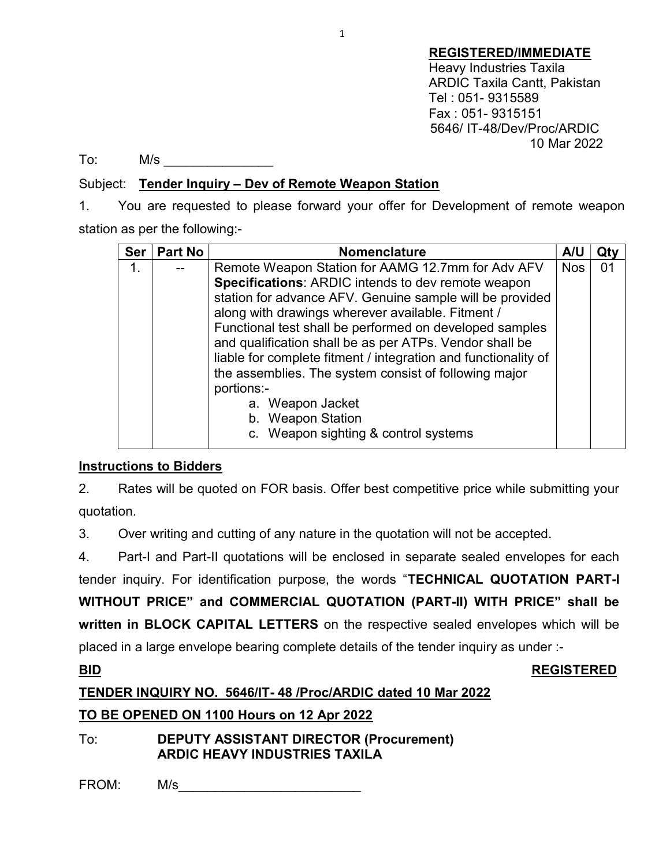REGISTERED/IMMEDIATE Heavy Industries Taxila ARDIC Taxila Cantt, Pakistan Tel : 051- 9315589 Fax : 051- 9315151 5646/ IT-48/Dev/Proc/ARDIC 10 Mar 2022

To: M/s \_\_\_\_\_\_\_\_\_\_\_\_\_\_\_

## Subject: Tender Inquiry – Dev of Remote Weapon Station

1. You are requested to please forward your offer for Development of remote weapon station as per the following:-

| <b>Ser</b> | <b>Part No</b> | <b>Nomenclature</b>                                            | <b>A/U</b> | Qty |
|------------|----------------|----------------------------------------------------------------|------------|-----|
| 1.         |                | Remote Weapon Station for AAMG 12.7mm for Adv AFV              | <b>Nos</b> | 01  |
|            |                | Specifications: ARDIC intends to dev remote weapon             |            |     |
|            |                | station for advance AFV. Genuine sample will be provided       |            |     |
|            |                | along with drawings wherever available. Fitment /              |            |     |
|            |                | Functional test shall be performed on developed samples        |            |     |
|            |                | and qualification shall be as per ATPs. Vendor shall be        |            |     |
|            |                | liable for complete fitment / integration and functionality of |            |     |
|            |                | the assemblies. The system consist of following major          |            |     |
|            |                | portions:-                                                     |            |     |
|            |                | a. Weapon Jacket                                               |            |     |
|            |                | b. Weapon Station                                              |            |     |
|            |                | c. Weapon sighting & control systems                           |            |     |

# Instructions to Bidders

2. Rates will be quoted on FOR basis. Offer best competitive price while submitting your quotation.

3. Over writing and cutting of any nature in the quotation will not be accepted.

4. Part-I and Part-II quotations will be enclosed in separate sealed envelopes for each

tender inquiry. For identification purpose, the words "TECHNICAL QUOTATION PART-I WITHOUT PRICE" and COMMERCIAL QUOTATION (PART-II) WITH PRICE" shall be written in BLOCK CAPITAL LETTERS on the respective sealed envelopes which will be placed in a large envelope bearing complete details of the tender inquiry as under :-

### BID REGISTERED

# TENDER INQUIRY NO. 5646/IT- 48 /Proc/ARDIC dated 10 Mar 2022

# TO BE OPENED ON 1100 Hours on 12 Apr 2022

To: DEPUTY ASSISTANT DIRECTOR (Procurement) ARDIC HEAVY INDUSTRIES TAXILA

FROM: M/s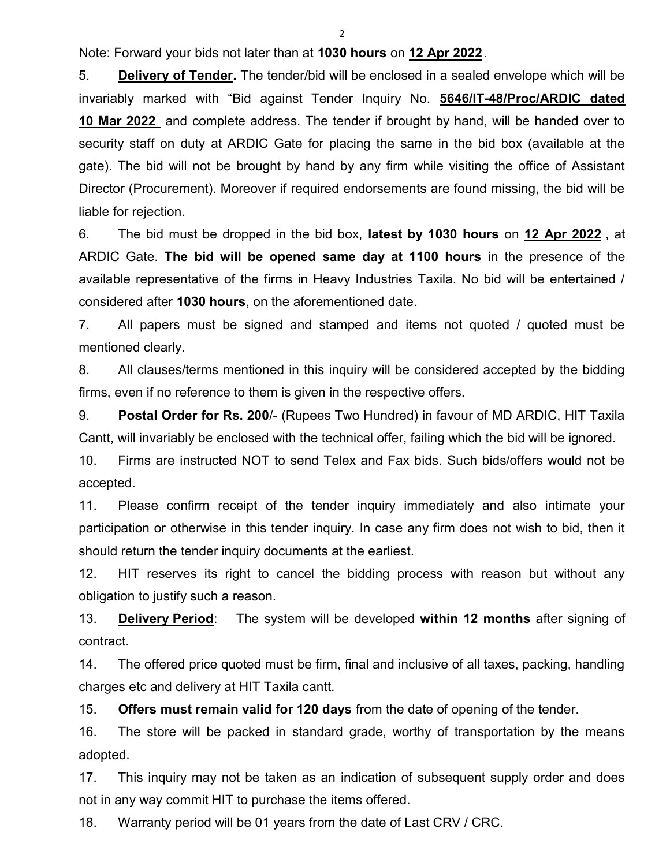$\mathfrak{p}$ 

Note: Forward your bids not later than at 1030 hours on 12 Apr 2022 .

5. Delivery of Tender. The tender/bid will be enclosed in a sealed envelope which will be invariably marked with "Bid against Tender Inquiry No. 5646/IT-48/Proc/ARDIC dated 10 Mar 2022 and complete address. The tender if brought by hand, will be handed over to security staff on duty at ARDIC Gate for placing the same in the bid box (available at the gate). The bid will not be brought by hand by any firm while visiting the office of Assistant Director (Procurement). Moreover if required endorsements are found missing, the bid will be liable for rejection.

6. The bid must be dropped in the bid box, latest by 1030 hours on 12 Apr 2022, at ARDIC Gate. The bid will be opened same day at 1100 hours in the presence of the available representative of the firms in Heavy Industries Taxila. No bid will be entertained / considered after 1030 hours, on the aforementioned date.

7. All papers must be signed and stamped and items not quoted / quoted must be mentioned clearly.

8. All clauses/terms mentioned in this inquiry will be considered accepted by the bidding firms, even if no reference to them is given in the respective offers.

9. Postal Order for Rs. 200/- (Rupees Two Hundred) in favour of MD ARDIC, HIT Taxila Cantt, will invariably be enclosed with the technical offer, failing which the bid will be ignored.

10. Firms are instructed NOT to send Telex and Fax bids. Such bids/offers would not be accepted.

11. Please confirm receipt of the tender inquiry immediately and also intimate your participation or otherwise in this tender inquiry. In case any firm does not wish to bid, then it should return the tender inquiry documents at the earliest.

12. HIT reserves its right to cancel the bidding process with reason but without any obligation to justify such a reason.

13. **Delivery Period:** The system will be developed within 12 months after signing of contract.

14. The offered price quoted must be firm, final and inclusive of all taxes, packing, handling charges etc and delivery at HIT Taxila cantt.

15. Offers must remain valid for 120 days from the date of opening of the tender.

16. The store will be packed in standard grade, worthy of transportation by the means adopted.

17. This inquiry may not be taken as an indication of subsequent supply order and does not in any way commit HIT to purchase the items offered.

18. Warranty period will be 01 years from the date of Last CRV / CRC.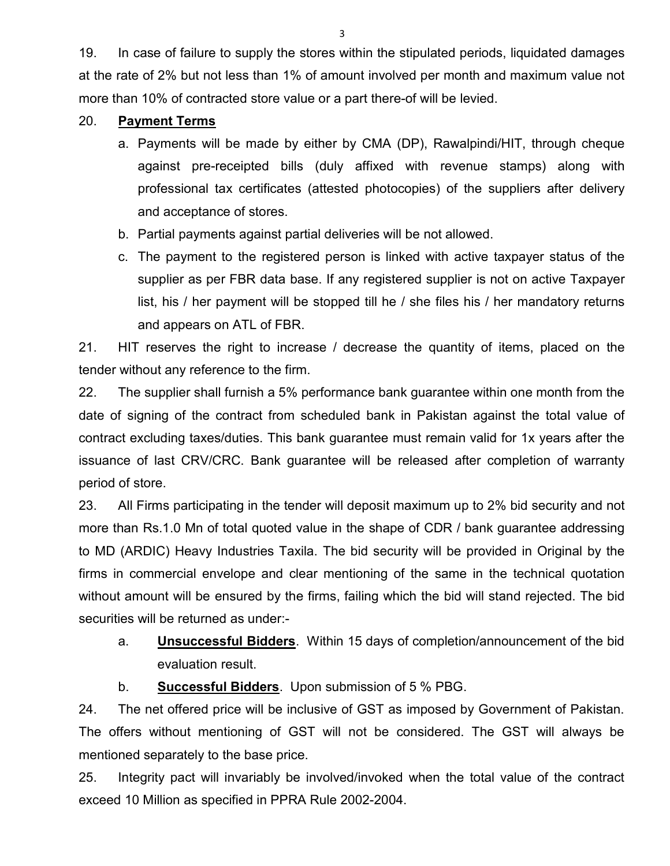19. In case of failure to supply the stores within the stipulated periods, liquidated damages at the rate of 2% but not less than 1% of amount involved per month and maximum value not more than 10% of contracted store value or a part there-of will be levied.

### 20. Payment Terms

- a. Payments will be made by either by CMA (DP), Rawalpindi/HIT, through cheque against pre-receipted bills (duly affixed with revenue stamps) along with professional tax certificates (attested photocopies) of the suppliers after delivery and acceptance of stores.
- b. Partial payments against partial deliveries will be not allowed.
- c. The payment to the registered person is linked with active taxpayer status of the supplier as per FBR data base. If any registered supplier is not on active Taxpayer list, his / her payment will be stopped till he / she files his / her mandatory returns and appears on ATL of FBR.

21. HIT reserves the right to increase / decrease the quantity of items, placed on the tender without any reference to the firm.

22. The supplier shall furnish a 5% performance bank guarantee within one month from the date of signing of the contract from scheduled bank in Pakistan against the total value of contract excluding taxes/duties. This bank guarantee must remain valid for 1x years after the issuance of last CRV/CRC. Bank guarantee will be released after completion of warranty period of store.

23. All Firms participating in the tender will deposit maximum up to 2% bid security and not more than Rs.1.0 Mn of total quoted value in the shape of CDR / bank guarantee addressing to MD (ARDIC) Heavy Industries Taxila. The bid security will be provided in Original by the firms in commercial envelope and clear mentioning of the same in the technical quotation without amount will be ensured by the firms, failing which the bid will stand rejected. The bid securities will be returned as under:-

a. **Unsuccessful Bidders**. Within 15 days of completion/announcement of the bid evaluation result.

b. Successful Bidders. Upon submission of 5 % PBG.

24. The net offered price will be inclusive of GST as imposed by Government of Pakistan. The offers without mentioning of GST will not be considered. The GST will always be mentioned separately to the base price.

25. Integrity pact will invariably be involved/invoked when the total value of the contract exceed 10 Million as specified in PPRA Rule 2002-2004.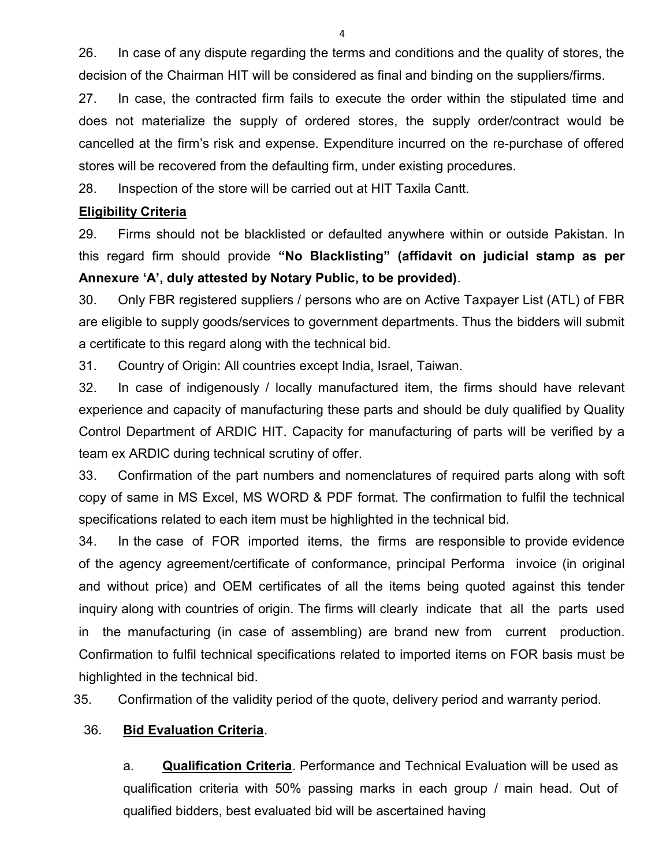26. In case of any dispute regarding the terms and conditions and the quality of stores, the decision of the Chairman HIT will be considered as final and binding on the suppliers/firms.

27. In case, the contracted firm fails to execute the order within the stipulated time and does not materialize the supply of ordered stores, the supply order/contract would be cancelled at the firm's risk and expense. Expenditure incurred on the re-purchase of offered stores will be recovered from the defaulting firm, under existing procedures.

28. Inspection of the store will be carried out at HIT Taxila Cantt.

## Eligibility Criteria

29. Firms should not be blacklisted or defaulted anywhere within or outside Pakistan. In this regard firm should provide "No Blacklisting" (affidavit on judicial stamp as per Annexure 'A', duly attested by Notary Public, to be provided).

30. Only FBR registered suppliers / persons who are on Active Taxpayer List (ATL) of FBR are eligible to supply goods/services to government departments. Thus the bidders will submit a certificate to this regard along with the technical bid.

31. Country of Origin: All countries except India, Israel, Taiwan.

32. In case of indigenously / locally manufactured item, the firms should have relevant experience and capacity of manufacturing these parts and should be duly qualified by Quality Control Department of ARDIC HIT. Capacity for manufacturing of parts will be verified by a team ex ARDIC during technical scrutiny of offer.

33. Confirmation of the part numbers and nomenclatures of required parts along with soft copy of same in MS Excel, MS WORD & PDF format. The confirmation to fulfil the technical specifications related to each item must be highlighted in the technical bid.

34. In the case of FOR imported items, the firms are responsible to provide evidence of the agency agreement/certificate of conformance, principal Performa invoice (in original and without price) and OEM certificates of all the items being quoted against this tender inquiry along with countries of origin. The firms will clearly indicate that all the parts used in the manufacturing (in case of assembling) are brand new from current production. Confirmation to fulfil technical specifications related to imported items on FOR basis must be highlighted in the technical bid.

35. Confirmation of the validity period of the quote, delivery period and warranty period.

# 36. Bid Evaluation Criteria.

 a. Qualification Criteria. Performance and Technical Evaluation will be used as qualification criteria with 50% passing marks in each group / main head. Out of qualified bidders, best evaluated bid will be ascertained having

4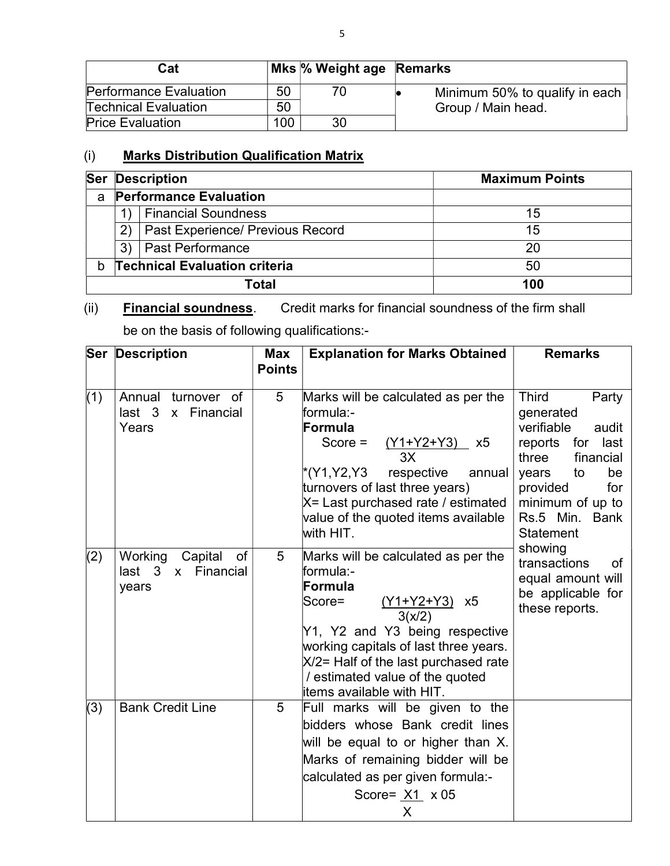| Cat                           |     | Mks % Weight age Remarks |                                |
|-------------------------------|-----|--------------------------|--------------------------------|
| <b>Performance Evaluation</b> | 50  | 70.                      | Minimum 50% to qualify in each |
| <b>Technical Evaluation</b>   | 50  |                          | Group / Main head.             |
| <b>Price Evaluation</b>       | 100 | 30                       |                                |

# (i) Marks Distribution Qualification Matrix

| <b>Ser</b> | <b>Description</b>                     | <b>Maximum Points</b> |
|------------|----------------------------------------|-----------------------|
| a          | <b>Performance Evaluation</b>          |                       |
|            | <b>Financial Soundness</b>             | 15                    |
|            | Past Experience/ Previous Record<br>2) | 15                    |
|            | <b>Past Performance</b><br>3)          | 20                    |
| b          | <b>Technical Evaluation criteria</b>   | 50                    |
|            | Total                                  | 100                   |

 $(ii)$ **Financial soundness**. Credit marks for financial soundness of the firm shall

be on the basis of following qualifications:-

|     | <b>Ser Description</b>                                                           | <b>Max</b><br><b>Points</b> | <b>Explanation for Marks Obtained</b>                                                                                                                                                                                                                                                 | <b>Remarks</b>                                                                                                                                                                                                     |
|-----|----------------------------------------------------------------------------------|-----------------------------|---------------------------------------------------------------------------------------------------------------------------------------------------------------------------------------------------------------------------------------------------------------------------------------|--------------------------------------------------------------------------------------------------------------------------------------------------------------------------------------------------------------------|
| (1) | Annual<br>turnover of<br>last <sub>3</sub><br>Financial<br>$\mathsf{X}$<br>Years | 5                           | Marks will be calculated as per the<br>formula:-<br>Formula<br>Score $=$<br>$(Y1+Y2+Y3)$ x5<br>3X<br>*(Y1,Y2,Y3<br>respective<br>annual<br>turnovers of last three years)<br>X= Last purchased rate / estimated<br>value of the quoted items available<br>with HIT.                   | <b>Third</b><br>Party<br>generated<br>verifiable<br>audit<br>reports for<br>last<br>three<br>financial<br>to<br>be<br>years<br>provided<br>for<br>minimum of up to<br>Rs.5 Min.<br><b>Bank</b><br><b>Statement</b> |
| (2) | Working<br>Capital<br>of<br>last 3 x Financial<br>years                          | 5                           | Marks will be calculated as per the<br>formula:-<br>Formula<br>$(Y1+Y2+Y3)$ x5<br>Score=<br>3(x/2)<br>Y1, Y2 and Y3 being respective<br>working capitals of last three years.<br>X/2= Half of the last purchased rate<br>/ estimated value of the quoted<br>items available with HIT. | showing<br>transactions<br>of<br>equal amount will<br>be applicable for<br>these reports.                                                                                                                          |
| (3) | <b>Bank Credit Line</b>                                                          | 5                           | Full marks will be given to the<br>bidders whose Bank credit lines<br>will be equal to or higher than X.<br>Marks of remaining bidder will be<br>calculated as per given formula:-<br>Score= $X1 \times 05$<br>X                                                                      |                                                                                                                                                                                                                    |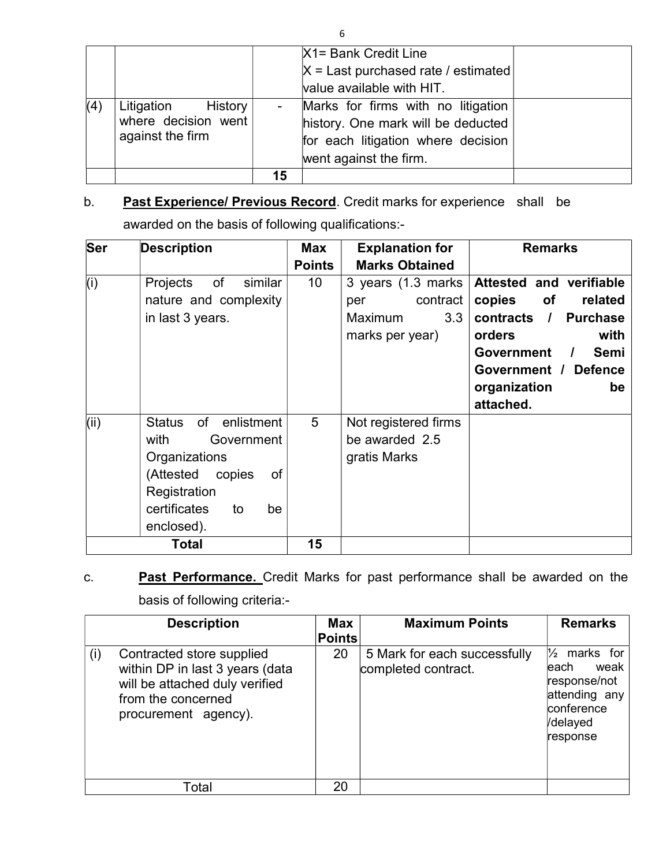|     |                                                                         |    | X1= Bank Credit Line                                                                                                                     |  |
|-----|-------------------------------------------------------------------------|----|------------------------------------------------------------------------------------------------------------------------------------------|--|
|     |                                                                         |    | $X =$ Last purchased rate / estimated                                                                                                    |  |
|     |                                                                         |    | value available with HIT.                                                                                                                |  |
| (4) | Litigation<br><b>History</b><br>where decision went<br>against the firm |    | Marks for firms with no litigation<br>history. One mark will be deducted<br>for each litigation where decision<br>went against the firm. |  |
|     |                                                                         | 15 |                                                                                                                                          |  |

# b. Past Experience/ Previous Record. Credit marks for experience shall be awarded on the basis of following qualifications:-

| <b>Ser</b><br><b>Description</b> |                                | Max             | <b>Explanation for</b> | <b>Remarks</b>                 |
|----------------------------------|--------------------------------|-----------------|------------------------|--------------------------------|
|                                  |                                | <b>Points</b>   | <b>Marks Obtained</b>  |                                |
| (i)                              | Projects<br>of<br>similar      | 10 <sup>°</sup> | 3 years (1.3 marks)    | Attested and verifiable        |
|                                  | nature and complexity          |                 | contract<br>per        | copies<br>of<br>related        |
|                                  | in last 3 years.               |                 | Maximum<br>3.3         | contracts /<br><b>Purchase</b> |
|                                  |                                |                 | marks per year)        | with<br>orders                 |
|                                  |                                |                 |                        | Government /<br>Semi           |
|                                  |                                |                 |                        | Government / Defence           |
|                                  |                                |                 |                        | organization<br>be             |
|                                  |                                |                 |                        | attached.                      |
| (iii)                            | of enlistment<br><b>Status</b> | 5               | Not registered firms   |                                |
|                                  | with<br>Government             |                 | be awarded 2.5         |                                |
|                                  | Organizations                  |                 | gratis Marks           |                                |
|                                  | (Attested<br>copies<br>of      |                 |                        |                                |
|                                  | Registration                   |                 |                        |                                |
|                                  | certificates<br>to<br>be       |                 |                        |                                |
|                                  | enclosed).                     |                 |                        |                                |
|                                  | Total                          | 15              |                        |                                |

# c. Past Performance. Credit Marks for past performance shall be awarded on the basis of following criteria:-

|                                                                                | <b>Description</b>                                                | <b>Max</b><br><b>Points</b> | <b>Maximum Points</b>                               | <b>Remarks</b>                                                                                                     |
|--------------------------------------------------------------------------------|-------------------------------------------------------------------|-----------------------------|-----------------------------------------------------|--------------------------------------------------------------------------------------------------------------------|
| Contracted store supplied<br>(i)<br>from the concerned<br>procurement agency). | within DP in last 3 years (data<br>will be attached duly verified | 20                          | 5 Mark for each successfully<br>completed contract. | $\frac{1}{2}$<br>marks for<br>weak<br>leach<br>response/not<br>attending any<br>conference<br>/delayed<br>response |
| Total                                                                          |                                                                   | 20                          |                                                     |                                                                                                                    |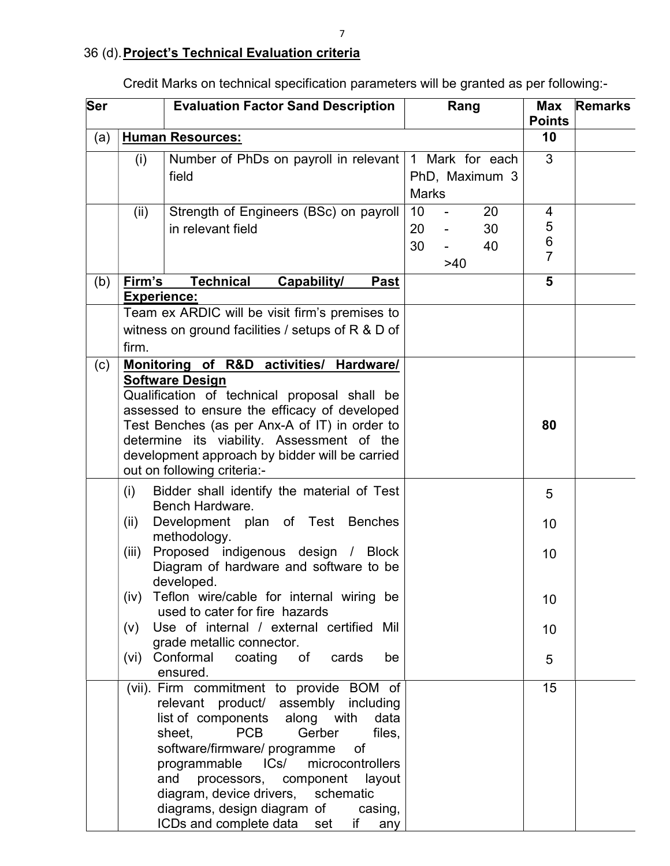| Ser |                                       | <b>Evaluation Factor Sand Description</b><br>Rang                                                                                                                                                                                                                                                                                                                                                                                    |                |           |                                   | <b>Max</b><br><b>Points</b>       | <b>Remarks</b> |
|-----|---------------------------------------|--------------------------------------------------------------------------------------------------------------------------------------------------------------------------------------------------------------------------------------------------------------------------------------------------------------------------------------------------------------------------------------------------------------------------------------|----------------|-----------|-----------------------------------|-----------------------------------|----------------|
| (a) |                                       | <b>Human Resources:</b>                                                                                                                                                                                                                                                                                                                                                                                                              |                |           |                                   | 10                                |                |
|     | (i)                                   | Number of PhDs on payroll in relevant<br>field                                                                                                                                                                                                                                                                                                                                                                                       | <b>Marks</b>   |           | 1 Mark for each<br>PhD, Maximum 3 | 3                                 |                |
|     | (ii)                                  | Strength of Engineers (BSc) on payroll<br>in relevant field                                                                                                                                                                                                                                                                                                                                                                          | 10<br>20<br>30 | ÷,<br>>40 | 20<br>30<br>40                    | 4<br>5<br>$\,6$<br>$\overline{7}$ |                |
| (b) | Firm's<br><b>Experience:</b><br>firm. | <b>Technical</b><br>Capability/<br><b>Past</b><br>Team ex ARDIC will be visit firm's premises to<br>witness on ground facilities / setups of $R & D$ of                                                                                                                                                                                                                                                                              |                |           |                                   | 5                                 |                |
| (c) |                                       | Monitoring of R&D activities/ Hardware/<br><b>Software Design</b><br>Qualification of technical proposal shall be<br>assessed to ensure the efficacy of developed<br>Test Benches (as per Anx-A of IT) in order to<br>determine its viability. Assessment of the<br>development approach by bidder will be carried<br>out on following criteria:-                                                                                    |                |           |                                   | 80                                |                |
|     | (i)<br>(ii)<br>(iii)<br>(V)<br>(vi)   | Bidder shall identify the material of Test<br>Bench Hardware.<br>Development plan of Test Benches<br>methodology.<br>Proposed indigenous design / Block<br>Diagram of hardware and software to be<br>developed.<br>(iv) Teflon wire/cable for internal wiring be<br>used to cater for fire hazards<br>Use of internal / external certified Mil<br>grade metallic connector.<br>Conformal<br>coating<br>cards<br>of<br>be<br>ensured. |                |           |                                   | 5<br>10<br>10<br>10<br>10<br>5    |                |
|     |                                       | (vii). Firm commitment to provide BOM of<br>relevant product/ assembly including<br>list of components along with<br>data<br><b>PCB</b><br>Gerber<br>files,<br>sheet,<br>software/firmware/ programme<br>of<br>programmable<br>microcontrollers<br>ICs/<br>and processors, component layout<br>diagram, device drivers, schematic<br>diagrams, design diagram of<br>casing,<br>ICDs and complete data set if<br>any                  |                |           |                                   | 15                                |                |

Credit Marks on technical specification parameters will be granted as per following:-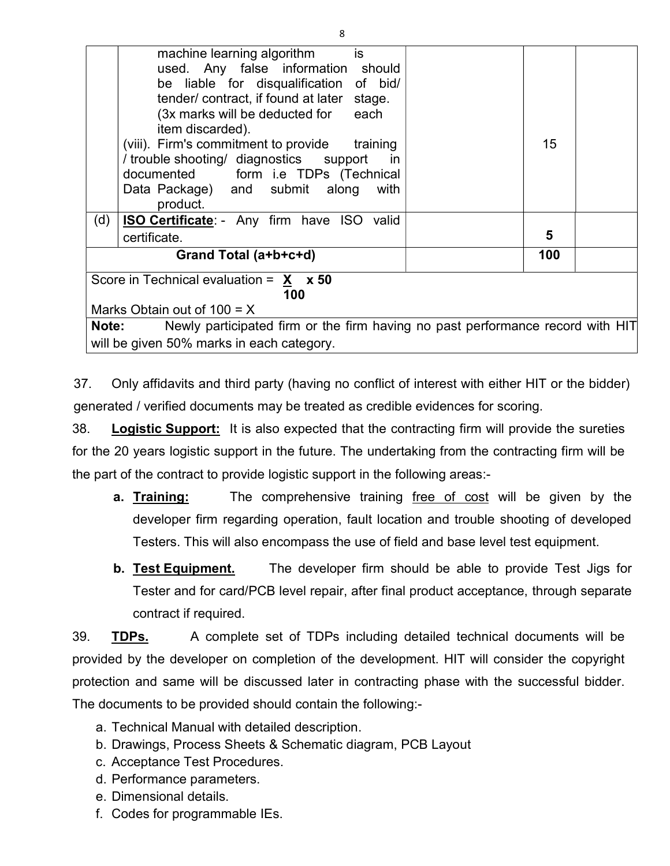|     | machine learning algorithm<br>is<br>used. Any false information should<br>be liable for disqualification of bid/<br>tender/contract, if found at later stage.<br>(3x marks will be deducted for each<br>item discarded).<br>(viii). Firm's commitment to provide training<br>/ trouble shooting/ diagnostics support<br>in in<br>documented form i.e TDPs (Technical<br>Data Package) and submit along<br>with<br>product. | 15  |  |
|-----|----------------------------------------------------------------------------------------------------------------------------------------------------------------------------------------------------------------------------------------------------------------------------------------------------------------------------------------------------------------------------------------------------------------------------|-----|--|
| (d) | <b>ISO Certificate:</b> - Any firm have ISO valid                                                                                                                                                                                                                                                                                                                                                                          |     |  |
|     | certificate.                                                                                                                                                                                                                                                                                                                                                                                                               | 5   |  |
|     | Grand Total (a+b+c+d)                                                                                                                                                                                                                                                                                                                                                                                                      | 100 |  |
|     | Score in Technical evaluation = $X \times 50$                                                                                                                                                                                                                                                                                                                                                                              |     |  |
|     | 100                                                                                                                                                                                                                                                                                                                                                                                                                        |     |  |
|     | Marks Obtain out of $100 = X$                                                                                                                                                                                                                                                                                                                                                                                              |     |  |
|     | <b>Note:</b> Newly participated firm or the firm having no past performance record with HIT                                                                                                                                                                                                                                                                                                                                |     |  |
|     | will be given 50% marks in each category.                                                                                                                                                                                                                                                                                                                                                                                  |     |  |

37. Only affidavits and third party (having no conflict of interest with either HIT or the bidder) generated / verified documents may be treated as credible evidences for scoring.

38. Logistic Support: It is also expected that the contracting firm will provide the sureties for the 20 years logistic support in the future. The undertaking from the contracting firm will be the part of the contract to provide logistic support in the following areas:-

- **a. Training:** The comprehensive training free of cost will be given by the developer firm regarding operation, fault location and trouble shooting of developed Testers. This will also encompass the use of field and base level test equipment.
- **b. Test Equipment.** The developer firm should be able to provide Test Jigs for Tester and for card/PCB level repair, after final product acceptance, through separate contract if required.

39. TDPs. A complete set of TDPs including detailed technical documents will be provided by the developer on completion of the development. HIT will consider the copyright protection and same will be discussed later in contracting phase with the successful bidder. The documents to be provided should contain the following:-

- a. Technical Manual with detailed description.
- b. Drawings, Process Sheets & Schematic diagram, PCB Layout
- c. Acceptance Test Procedures.
- d. Performance parameters.
- e. Dimensional details.
- f. Codes for programmable IEs.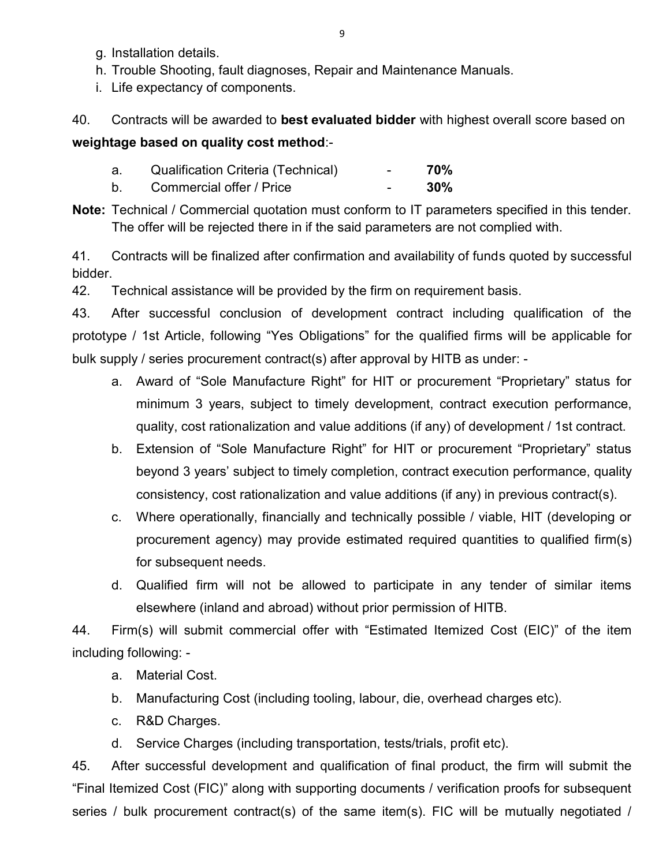- g. Installation details.
- h. Trouble Shooting, fault diagnoses, Repair and Maintenance Manuals.
- i. Life expectancy of components.

40. Contracts will be awarded to best evaluated bidder with highest overall score based on weightage based on quality cost method:-

- a. Qualification Criteria (Technical) 70%
- b. Commercial offer / Price **COMEN** 30%
- Note: Technical / Commercial quotation must conform to IT parameters specified in this tender. The offer will be rejected there in if the said parameters are not complied with.

41. Contracts will be finalized after confirmation and availability of funds quoted by successful bidder.

42. Technical assistance will be provided by the firm on requirement basis.

43. After successful conclusion of development contract including qualification of the prototype / 1st Article, following "Yes Obligations" for the qualified firms will be applicable for bulk supply / series procurement contract(s) after approval by HITB as under: -

- a. Award of "Sole Manufacture Right" for HIT or procurement "Proprietary" status for minimum 3 years, subject to timely development, contract execution performance, quality, cost rationalization and value additions (if any) of development / 1st contract.
- b. Extension of "Sole Manufacture Right" for HIT or procurement "Proprietary" status beyond 3 years' subject to timely completion, contract execution performance, quality consistency, cost rationalization and value additions (if any) in previous contract(s).
- c. Where operationally, financially and technically possible / viable, HIT (developing or procurement agency) may provide estimated required quantities to qualified firm(s) for subsequent needs.
- d. Qualified firm will not be allowed to participate in any tender of similar items elsewhere (inland and abroad) without prior permission of HITB.

44. Firm(s) will submit commercial offer with "Estimated Itemized Cost (EIC)" of the item including following: -

- a. Material Cost.
- b. Manufacturing Cost (including tooling, labour, die, overhead charges etc).
- c. R&D Charges.

d. Service Charges (including transportation, tests/trials, profit etc).

45. After successful development and qualification of final product, the firm will submit the "Final Itemized Cost (FIC)" along with supporting documents / verification proofs for subsequent series / bulk procurement contract(s) of the same item(s). FIC will be mutually negotiated /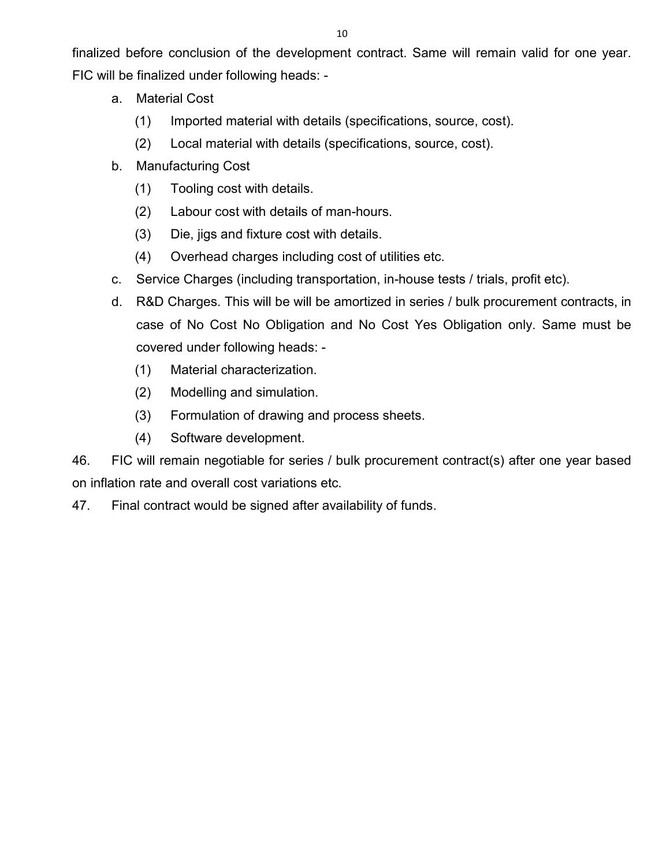finalized before conclusion of the development contract. Same will remain valid for one year. FIC will be finalized under following heads: -

- a. Material Cost
	- (1) Imported material with details (specifications, source, cost).
	- (2) Local material with details (specifications, source, cost).
- b. Manufacturing Cost
	- (1) Tooling cost with details.
	- (2) Labour cost with details of man-hours.
	- (3) Die, jigs and fixture cost with details.
	- (4) Overhead charges including cost of utilities etc.
- c. Service Charges (including transportation, in-house tests / trials, profit etc).
- d. R&D Charges. This will be will be amortized in series / bulk procurement contracts, in case of No Cost No Obligation and No Cost Yes Obligation only. Same must be covered under following heads: -
	- (1) Material characterization.
	- (2) Modelling and simulation.
	- (3) Formulation of drawing and process sheets.
	- (4) Software development.

46. FIC will remain negotiable for series / bulk procurement contract(s) after one year based on inflation rate and overall cost variations etc.

47. Final contract would be signed after availability of funds.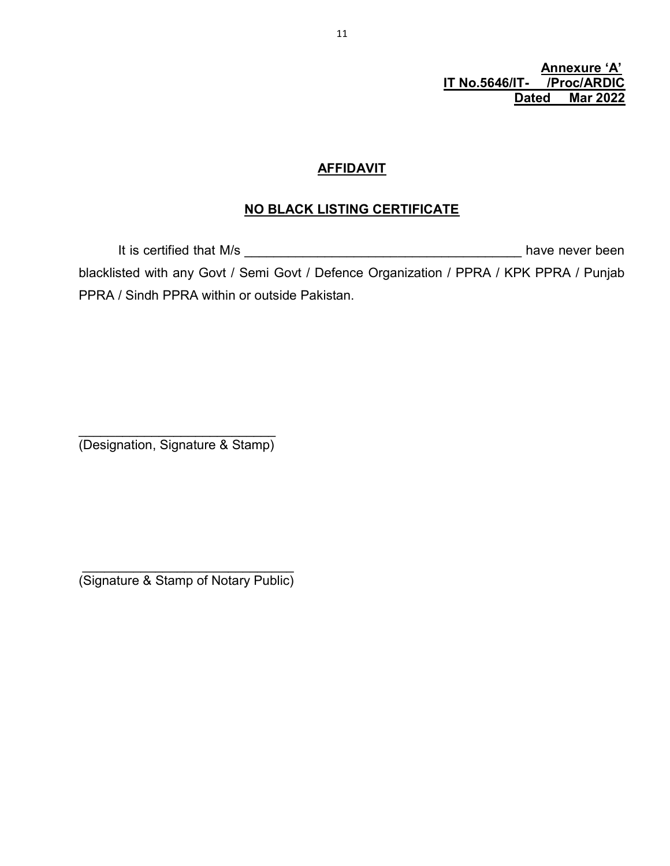Annexure 'A' IT No.5646/IT- /Proc/ARDIC<br>Dated Mar 2022 **Mar 2022** 

## **AFFIDAVIT**

# NO BLACK LISTING CERTIFICATE

 It is certified that M/s \_\_\_\_\_\_\_\_\_\_\_\_\_\_\_\_\_\_\_\_\_\_\_\_\_\_\_\_\_\_\_\_\_\_\_\_\_\_ have never been blacklisted with any Govt / Semi Govt / Defence Organization / PPRA / KPK PPRA / Punjab PPRA / Sindh PPRA within or outside Pakistan.

\_\_\_\_\_\_\_\_\_\_\_\_\_\_\_\_\_\_\_\_\_\_\_\_\_\_\_ (Designation, Signature & Stamp)

 $\overline{\phantom{a}}$  ,  $\overline{\phantom{a}}$  ,  $\overline{\phantom{a}}$  ,  $\overline{\phantom{a}}$  ,  $\overline{\phantom{a}}$  ,  $\overline{\phantom{a}}$  ,  $\overline{\phantom{a}}$  ,  $\overline{\phantom{a}}$  ,  $\overline{\phantom{a}}$  ,  $\overline{\phantom{a}}$  ,  $\overline{\phantom{a}}$  ,  $\overline{\phantom{a}}$  ,  $\overline{\phantom{a}}$  ,  $\overline{\phantom{a}}$  ,  $\overline{\phantom{a}}$  ,  $\overline{\phantom{a}}$ (Signature & Stamp of Notary Public)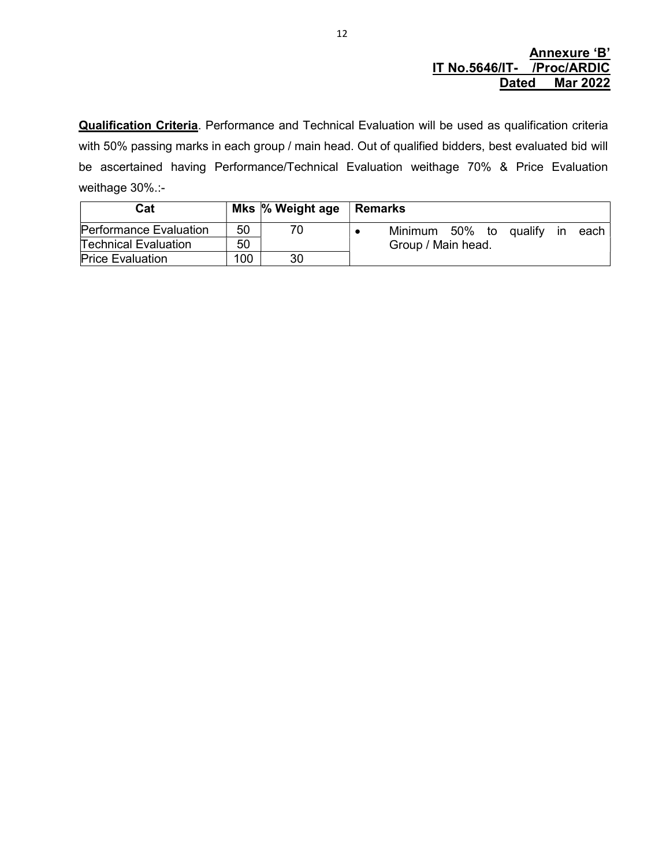### Annexure 'B' IT No.5646/IT- /Proc/ARDIC Dated Mar 2022

Qualification Criteria. Performance and Technical Evaluation will be used as qualification criteria with 50% passing marks in each group / main head. Out of qualified bidders, best evaluated bid will be ascertained having Performance/Technical Evaluation weithage 70% & Price Evaluation weithage 30%.:-

| Cat                         |     | Mks $\%$ Weight age | <b>Remarks</b>                    |
|-----------------------------|-----|---------------------|-----------------------------------|
| Performance Evaluation      | 50  | 70                  | Minimum 50% to qualify in<br>each |
| <b>Technical Evaluation</b> | 50  |                     | Group / Main head.                |
| <b>Price Evaluation</b>     | 100 | 30                  |                                   |